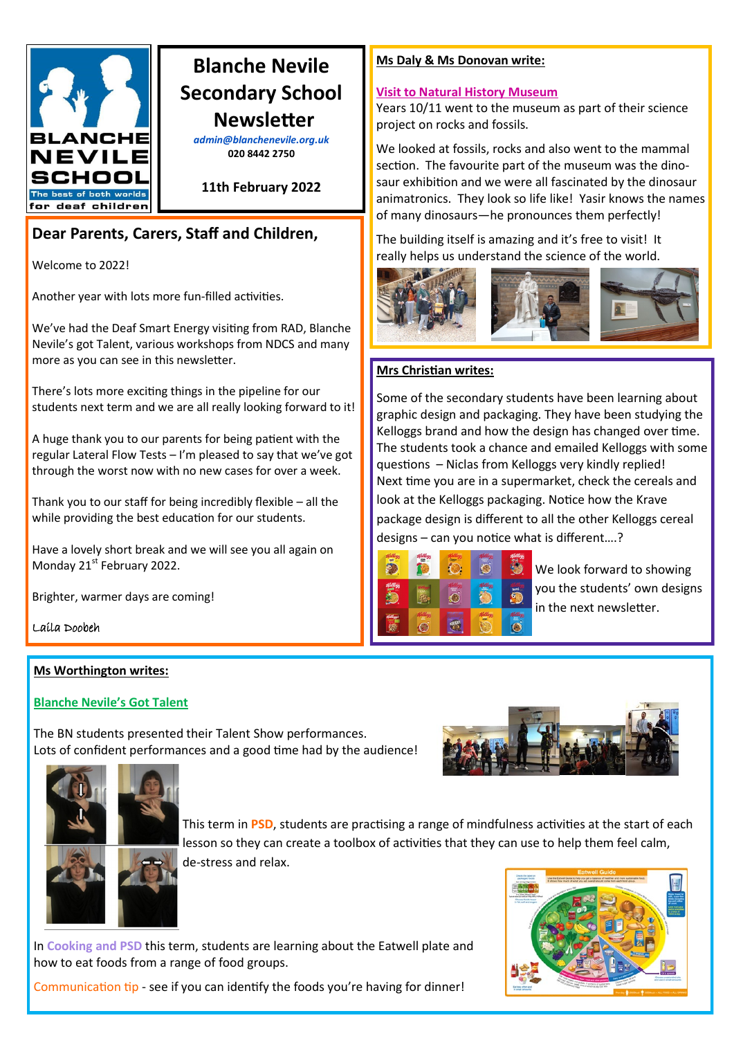

# **Blanche Nevile Secondary School Newsletter**

*admin@blanchenevile.org.uk* **020 8442 2750**

**11th February 2022**

# **Dear Parents, Carers, Staff and Children,**

Welcome to 2022!

Another year with lots more fun-filled activities.

We've had the Deaf Smart Energy visiting from RAD, Blanche Nevile's got Talent, various workshops from NDCS and many more as you can see in this newsletter.

There's lots more exciting things in the pipeline for our students next term and we are all really looking forward to it!

A huge thank you to our parents for being patient with the regular Lateral Flow Tests – I'm pleased to say that we've got through the worst now with no new cases for over a week.

Thank you to our staff for being incredibly flexible – all the while providing the best education for our students.

Have a lovely short break and we will see you all again on Monday 21<sup>st</sup> February 2022.

Brighter, warmer days are coming!

Laila Doobeh

# **Ms Worthington writes:**

# **Blanche Nevile's Got Talent**

The BN students presented their Talent Show performances. Lots of confident performances and a good time had by the audience!





This term in **PSD**, students are practising a range of mindfulness activities at the start of each lesson so they can create a toolbox of activities that they can use to help them feel calm, de-stress and relax.

In **Cooking and PSD** this term, students are learning about the Eatwell plate and how to eat foods from a range of food groups.

Communication tip - see if you can identify the foods you're having for dinner!

### **Ms Daly & Ms Donovan write:**

### **Visit to Natural History Museum**

Years 10/11 went to the museum as part of their science project on rocks and fossils.

We looked at fossils, rocks and also went to the mammal section. The favourite part of the museum was the dinosaur exhibition and we were all fascinated by the dinosaur animatronics. They look so life like! Yasir knows the names of many dinosaurs—he pronounces them perfectly!

The building itself is amazing and it's free to visit! It really helps us understand the science of the world.



## **Mrs Christian writes:**

Some of the secondary students have been learning about graphic design and packaging. They have been studying the Kelloggs brand and how the design has changed over time. The students took a chance and emailed Kelloggs with some questions – Niclas from Kelloggs very kindly replied! Next time you are in a supermarket, check the cereals and look at the Kelloggs packaging. Notice how the Krave package design is different to all the other Kelloggs cereal designs – can you notice what is different….?



We look forward to showing you the students' own designs in the next newsletter.